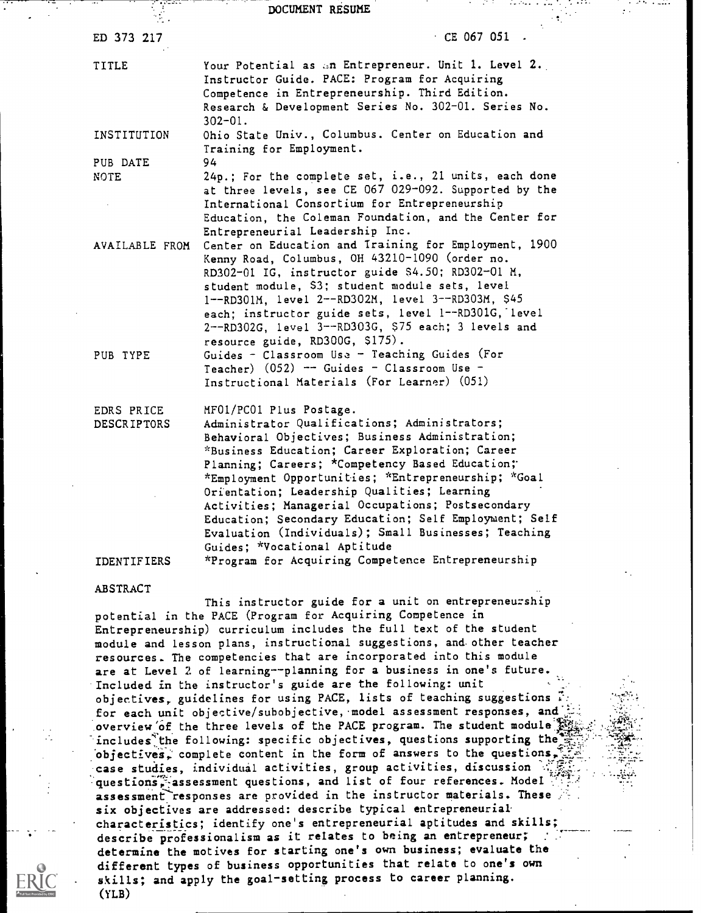#### DOCUMENT RESUME

| ED 373 217                       | $CE 067 051$ .                                                                                                                                                                                                                                                                                                                                                                                                                                                                                                                                |
|----------------------------------|-----------------------------------------------------------------------------------------------------------------------------------------------------------------------------------------------------------------------------------------------------------------------------------------------------------------------------------------------------------------------------------------------------------------------------------------------------------------------------------------------------------------------------------------------|
| TITLE                            | Your Potential as an Entrepreneur. Unit 1. Level 2.<br>Instructor Guide. PACE: Program for Acquiring<br>Competence in Entrepreneurship. Third Edition.<br>Research & Development Series No. 302-01. Series No.<br>$302 - 01.$                                                                                                                                                                                                                                                                                                                 |
| INSTITUTION                      | Ohio State Univ., Columbus. Center on Education and<br>Training for Employment.                                                                                                                                                                                                                                                                                                                                                                                                                                                               |
| PUB DATE<br><b>NOTE</b>          | 94<br>24p.; For the complete set, i.e., 21 units, each done<br>at three levels, see CE 067 029-092. Supported by the<br>International Consortium for Entrepreneurship<br>Education, the Coleman Foundation, and the Center for<br>Entrepreneurial Leadership Inc.                                                                                                                                                                                                                                                                             |
| AVAILABLE FROM                   | Center on Education and Iraining for Employment, 1900<br>Kenny Road, Columbus, OH 43210-1090 (order no.<br>RD302-01 IG, instructor guide \$4.50; RD302-01 M,<br>student module, S3; student module sets, level<br>1--RD301M, level 2--RD302M, level 3--RD303M, \$45<br>each; instructor guide sets, level 1--RD301G, level<br>2--RD302G, level 3--RD303G, \$75 each; 3 levels and<br>resource guide, RD300G, \$175).                                                                                                                          |
| PUB TYPE                         | Guides - Classroom Use - Teaching Guides (For<br>Teacher) $(052)$ -- Guides - Classroom Use -<br>Instructional Materials (For Learner) (051)                                                                                                                                                                                                                                                                                                                                                                                                  |
| EDRS PRICE<br><b>DESCRIPTORS</b> | MF01/PC01 Plus Postage.<br>Administrator Qualifications; Administrators;<br>Behavioral Objectives; Business Administration;<br>*Business Education; Career Exploration; Career<br>Planning; Careers; *Competency Based Education;<br>*Employment Opportunities; *Entrepreneurship; *Goal<br>Orientation; Leadership Qualities; Learning<br>Activities; Managerial Occupations; Postsecondary<br>Education; Secondary Education; Self Employment; Self<br>Evaluation (Individuals); Small Businesses; Teaching<br>Guides; *Vocational Aptitude |
| <b>IDENTIFIERS</b>               | *Program for Acquiring Competence Entrepreneurship                                                                                                                                                                                                                                                                                                                                                                                                                                                                                            |

#### ABSTRACT

This instructor guide for a unit on entrepreneurship potential in the PACE (Program for Acquiring Competence in Entrepreneurship) curriculum includes the full text of the student module and lesson plans, instructional suggestions, and. other teacher resources. The competencies that are incorporated into this module are at Level 2 of learning--planning for a business in one's future. Included in the instructor's guide are the following: unit objectives, guidelines for using PACE, lists of teaching suggestions for each unit objective/subobjective, model assessment responses, and overview of the three levels of the PACE program. The student module includes the following: specific objectives, questions supporting the objectives, complete content in the form of answers to the questions, case studies, individual activities, group activities, discussion questions, assessment questions, and list of four references. Model assessment responses are provided in the instructor materials. These six objectives are addressed: describe typical entrepreneurial characteristics; identify one's entrepreneurial aptitudes and skills; describe professionalism as it relates to being an entrepreneur; determine the motives for starting one's own business; evaluate the different types of business opportunities that relate to one's own skills; and apply the goal-setting process to career planning. (YLB)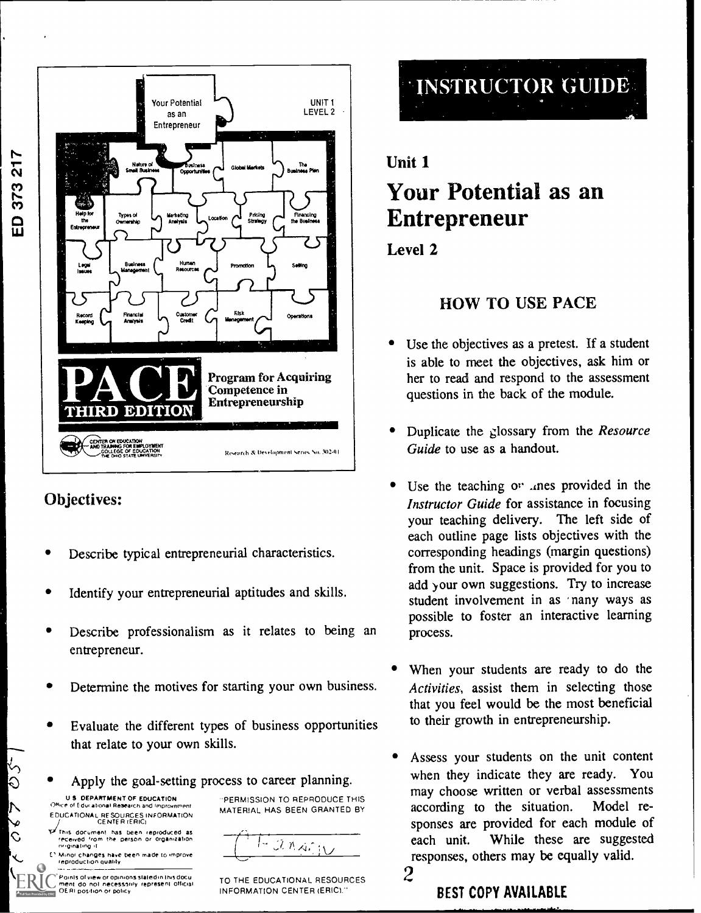

# Objectives:

ED 373 217

- Describe typical entrepreneurial characteristics.
- Identify your entrepreneurial aptitudes and skills.
- Describe professionalism as it relates to being an entrepreneur.
- Determine the motives for starting your own business.
- Evaluate the different types of business opportunities that relate to your own skills.
- Apply the goal-setting process to career planning.

U S DEPARTMENT OF EDUCATION Office of Edur ational Research and Improvement EDUCATIONAL RE SOURCES INFORMATION CENTER IERIC1

 $250$ 

 $\mathsf{L}$ 

Ć

En.s aoc.rnenl has been reproduced as rece.ved iron' the person Or organizatron r,grnalrng .1

Minor changes have been made to improve \_\_\_\_\_\_\_\_\_<br>reproduction quality

**Points of view or opinions stated in this docu** ment do not necessarily represent official .<br>OERI position or policy 'PERMISSION TO REPRODUCE THIS MATERIAL HAS BEEN GRANTED BY

 $J.M.A.f.$ 

TO THE EDUCATIONAL RESOURCES  $\bf{2}$ INFORMATION CENTER (ERIC)."



# Unit 1 Your Potential as an Entrepreneur

Level 2

# HOW TO USE PACE

- Use the objectives as a pretest. If a student is able to meet the objectives, ask him or her to read and respond to the assessment questions in the back of the module.
- Duplicate the glossary from the Resource Guide to use as a handout.
- Use the teaching or anes provided in the Instructor Guide for assistance in focusing your teaching delivery. The left side of each outline page lists objectives with the corresponding headings (margin questions) from the unit. Space is provided for you to add your own suggestions. Try to increase student involvement in as nany ways as possible to foster an interactive learning process.
- When your students are ready to do the Activities, assist them in selecting those that you feel would be the most beneficial to their growth in entrepreneurship.
- Assess your students on the unit content when they indicate they are ready. You may choose written or verbal assessments according to the situation. Model responses are provided for each module of each unit. While these are suggested responses, others may be equally valid.

2

BEST COPY AVAILABLE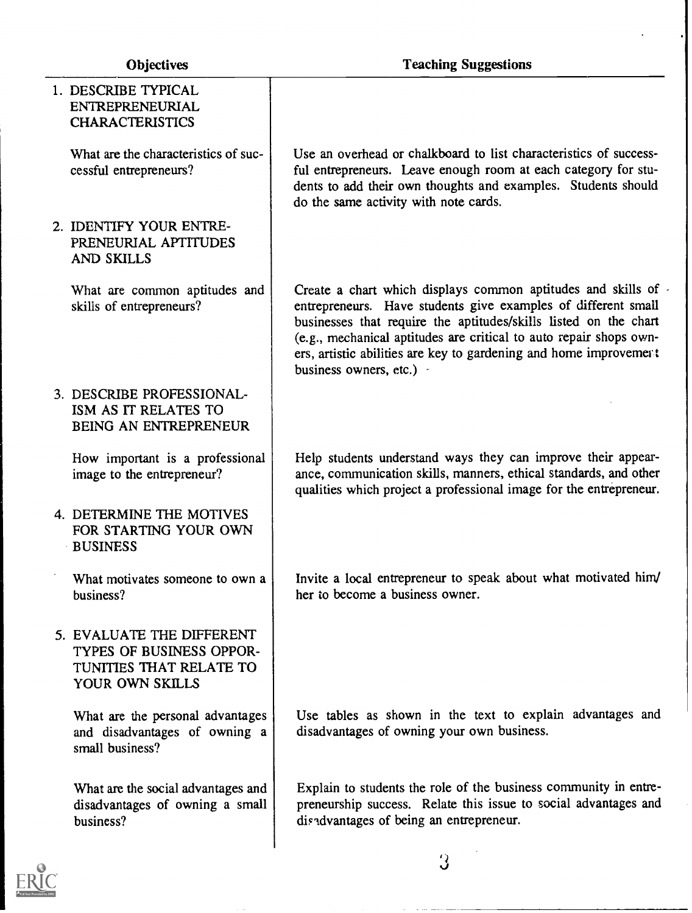| 1. DESCRIBE TYPICAL<br>ENTREPRENEURIAL<br><b>CHARACTERISTICS</b>                                    |                                                                                                                                                                                                                                                                                                                                                                          |
|-----------------------------------------------------------------------------------------------------|--------------------------------------------------------------------------------------------------------------------------------------------------------------------------------------------------------------------------------------------------------------------------------------------------------------------------------------------------------------------------|
| What are the characteristics of suc-<br>cessful entrepreneurs?                                      | Use an overhead or chalkboard to list characteristics of success-<br>ful entrepreneurs. Leave enough room at each category for stu-<br>dents to add their own thoughts and examples. Students should<br>do the same activity with note cards.                                                                                                                            |
| 2. IDENTIFY YOUR ENTRE-<br>PRENEURIAL APTITUDES<br>AND SKILLS                                       |                                                                                                                                                                                                                                                                                                                                                                          |
| What are common aptitudes and<br>skills of entrepreneurs?                                           | Create a chart which displays common aptitudes and skills of<br>entrepreneurs. Have students give examples of different small<br>businesses that require the aptitudes/skills listed on the chart<br>(e.g., mechanical aptitudes are critical to auto repair shops own-<br>ers, artistic abilities are key to gardening and home improvement<br>business owners, etc.) - |
| 3. DESCRIBE PROFESSIONAL-<br>ISM AS IT RELATES TO<br>BEING AN ENTREPRENEUR                          |                                                                                                                                                                                                                                                                                                                                                                          |
| How important is a professional<br>image to the entrepreneur?                                       | Help students understand ways they can improve their appear-<br>ance, communication skills, manners, ethical standards, and other<br>qualities which project a professional image for the entrepreneur.                                                                                                                                                                  |
| 4. DETERMINE THE MOTIVES<br>FOR STARTING YOUR OWN<br><b>BUSINESS</b>                                |                                                                                                                                                                                                                                                                                                                                                                          |
| What motivates someone to own a<br>business?                                                        | Invite a local entrepreneur to speak about what motivated him/<br>her to become a business owner.                                                                                                                                                                                                                                                                        |
| 5. EVALUATE THE DIFFERENT<br>TYPES OF BUSINESS OPPOR-<br>TUNITIES THAT RELATE TO<br>YOUR OWN SKILLS |                                                                                                                                                                                                                                                                                                                                                                          |
| What are the personal advantages<br>and disadvantages of owning a<br>small business?                | Use tables as shown in the text to explain advantages and<br>disadvantages of owning your own business.                                                                                                                                                                                                                                                                  |
| What are the social advantages and<br>disadvantages of owning a small<br>business?                  | Explain to students the role of the business community in entre-<br>preneurship success. Relate this issue to social advantages and<br>disadvantages of being an entrepreneur.                                                                                                                                                                                           |
|                                                                                                     | 3                                                                                                                                                                                                                                                                                                                                                                        |

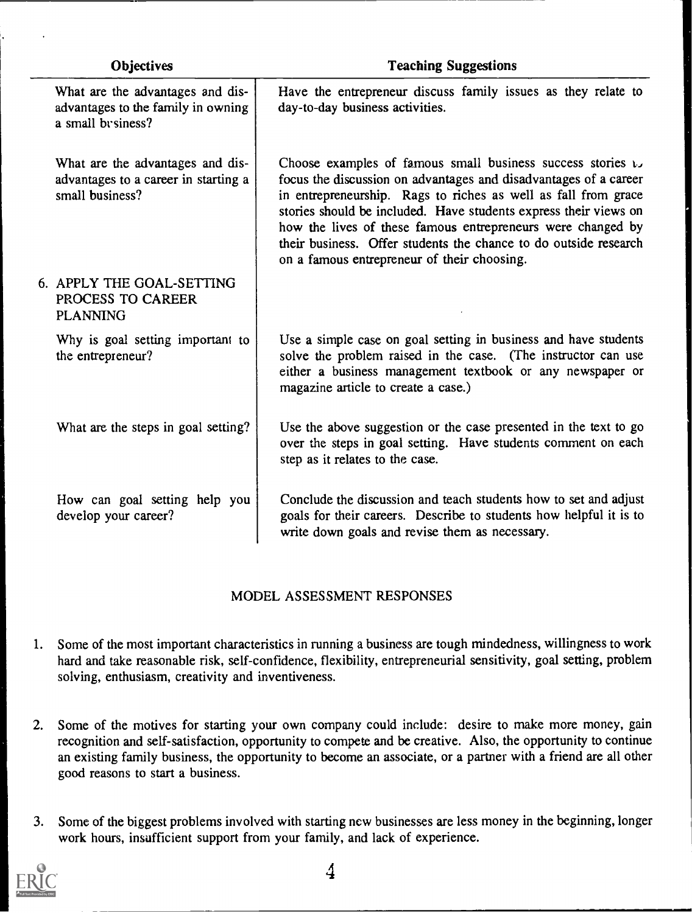| <b>Objectives</b> |                                                                                              | <b>Teaching Suggestions</b>                                                                                                                                                                                                                                                                                                                                                                                                                                 |
|-------------------|----------------------------------------------------------------------------------------------|-------------------------------------------------------------------------------------------------------------------------------------------------------------------------------------------------------------------------------------------------------------------------------------------------------------------------------------------------------------------------------------------------------------------------------------------------------------|
|                   | What are the advantages and dis-<br>advantages to the family in owning<br>a small by siness? | Have the entrepreneur discuss family issues as they relate to<br>day-to-day business activities.                                                                                                                                                                                                                                                                                                                                                            |
|                   | What are the advantages and dis-<br>advantages to a career in starting a<br>small business?  | Choose examples of famous small business success stories $\cup$<br>focus the discussion on advantages and disadvantages of a career<br>in entrepreneurship. Rags to riches as well as fall from grace<br>stories should be included. Have students express their views on<br>how the lives of these famous entrepreneurs were changed by<br>their business. Offer students the chance to do outside research<br>on a famous entrepreneur of their choosing. |
|                   | 6. APPLY THE GOAL-SETTING<br>PROCESS TO CAREER<br><b>PLANNING</b>                            |                                                                                                                                                                                                                                                                                                                                                                                                                                                             |
|                   | Why is goal setting important to<br>the entrepreneur?                                        | Use a simple case on goal setting in business and have students<br>solve the problem raised in the case. (The instructor can use<br>either a business management textbook or any newspaper or<br>magazine article to create a case.)                                                                                                                                                                                                                        |
|                   | What are the steps in goal setting?                                                          | Use the above suggestion or the case presented in the text to go<br>over the steps in goal setting. Have students comment on each<br>step as it relates to the case.                                                                                                                                                                                                                                                                                        |
|                   | How can goal setting help you<br>develop your career?                                        | Conclude the discussion and teach students how to set and adjust<br>goals for their careers. Describe to students how helpful it is to<br>write down goals and revise them as necessary.                                                                                                                                                                                                                                                                    |

#### MODEL ASSESSMENT RESPONSES

- 1. Some of the most important characteristics in running a business are tough mindedness, willingness to work hard and take reasonable risk, self-confidence, flexibility, entrepreneurial sensitivity, goal setting, problem solving, enthusiasm, creativity and inventiveness.
- 2. Some of the motives for starting your own company could include: desire to make more money, gain recognition and self-satisfaction, opportunity to compete and be creative. Also, the opportunity to continue an existing family business, the opportunity to become an associate, or a partner with a friend are all other good reasons to start a business.
- 3. Some of the biggest problems involved with starting new businesses are less money in the beginning, longer work hours, insufficient support from your family, and lack of experience.



4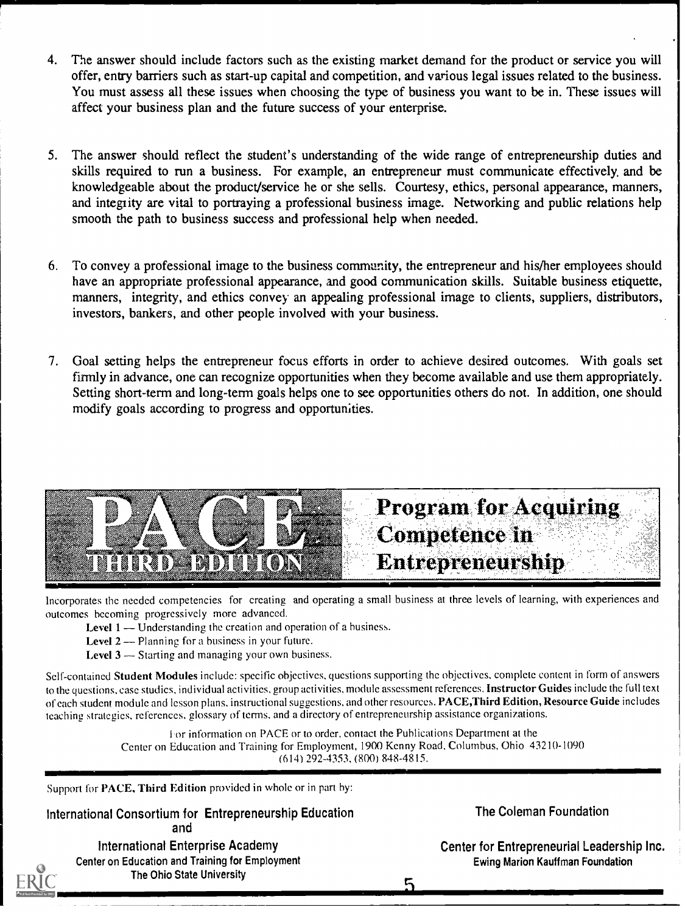- 4. The answer should include factors such as the existing market demand for the product or service you will offer, entry barriers such as start-up capital and competition, and various legal issues related to the business. You must assess all these issues when choosing the type of business you want to be in. These issues will affect your business plan and the future success of your enterprise.
- 5. The answer should reflect the student's understanding of the wide range of entrepreneurship duties and skills required to run a business. For example, an entrepreneur must communicate effectively, and be knowledgeable about the product/service he or she sells. Courtesy, ethics, personal appearance, manners, and integrity are vital to portraying a professional business image. Networking and public relations help smooth the path to business success and professional help when needed.
- 6. To convey a professional image to the business community, the entrepreneur and his/her employees should have an appropriate professional appearance, and good communication skills. Suitable business etiquette, manners, integrity, and ethics convey an appealing professional image to clients, suppliers, distributors, investors, bankers, and other people involved with your business.
- 7. Goal setting helps the entrepreneur focus efforts in order to achieve desired outcomes. With goals set firmly in advance, one can recognize opportunities when they become available and use them appropriately. Setting short-term and long-term goals helps one to see opportunities others do not. In addition, one should modify goals according to progress and opportunities.



Incorporates the needed competencies for creating and operating a small business at three levels of learning, with experiences and outcomes becoming progressively more advanced.

- **Level 1** Understanding the creation and operation of a business.
- Level  $2$  Planning for a business in your future.
- **Level 3**  $-$  Starting and managing your own business.

Self-contained Student Modules include: specific objectives, questions supporting the objectives, complete content in form of answers to the questions, case studies, individual activities, group activities, module assessment references. Instructor Guides include the full text of each student module and lesson plans, instructional suggestions, and other resources. PACE,Third Edition, Resource Guide includes teaching strategies, references, glossary of terms, and a directory of entrepreneurship assistance organizations.

> For information on PACE or to order, contact the Publications Department at the Center on Education and Training for Employment, 1900 Kenny Road, Columbus, Ohio 43210-1090 (614) 292-4353, (800) 848-4815.

Support for PACE, Third Edition provided in whole or in part by:

<u>musikinin ma</u>

International Consortium for Entrepreneurship Education The Coleman Foundation and

International Enterprise Academy Center on Education and Training for Employment The Ohio State University

Center for Entrepreneurial Leadership Inc. Ewing Marion Kauffman Foundation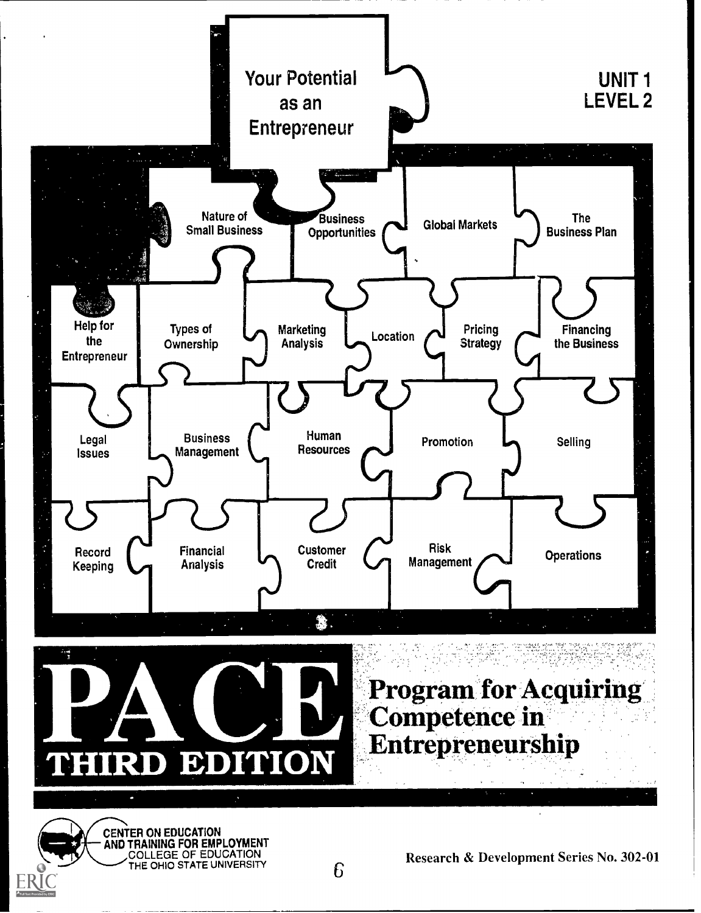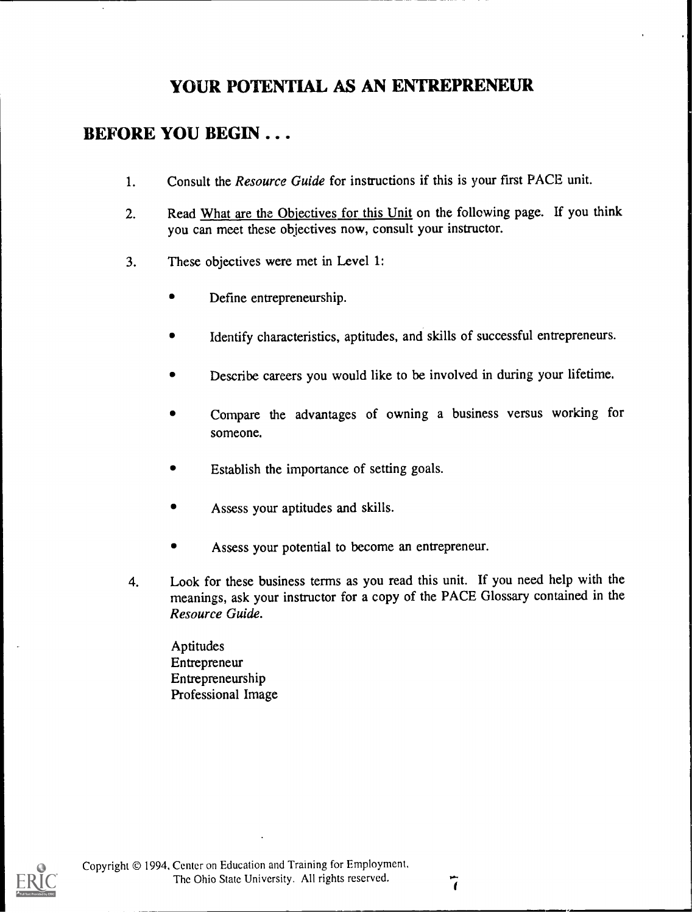# YOUR POTENTIAL AS AN ENTREPRENEUR

# BEFORE YOU BEGIN . . .

- 1. Consult the Resource Guide for instructions if this is your first PACE unit.
- 2. Read What are the Objectives for this Unit on the following page. If you think you can meet these objectives now, consult your instructor.
- 3. These objectives were met in Level 1:
	- Define entrepreneurship.
	- Identify characteristics, aptitudes, and skills of successful entrepreneurs.
	- Describe careers you would like to be involved in during your lifetime.
	- Compare the advantages of owning a business versus working for  $\bullet$ someone.
	- Establish the importance of setting goals.
	- Assess your aptitudes and skills.
	- Assess your potential to become an entrepreneur.
- 4. Look for these business terms as you read this unit. If you need help with the meanings, ask your instructor for a copy of the PACE Glossary contained in the Resource Guide.

Aptitudes Entrepreneur Entrepreneurship Professional Image

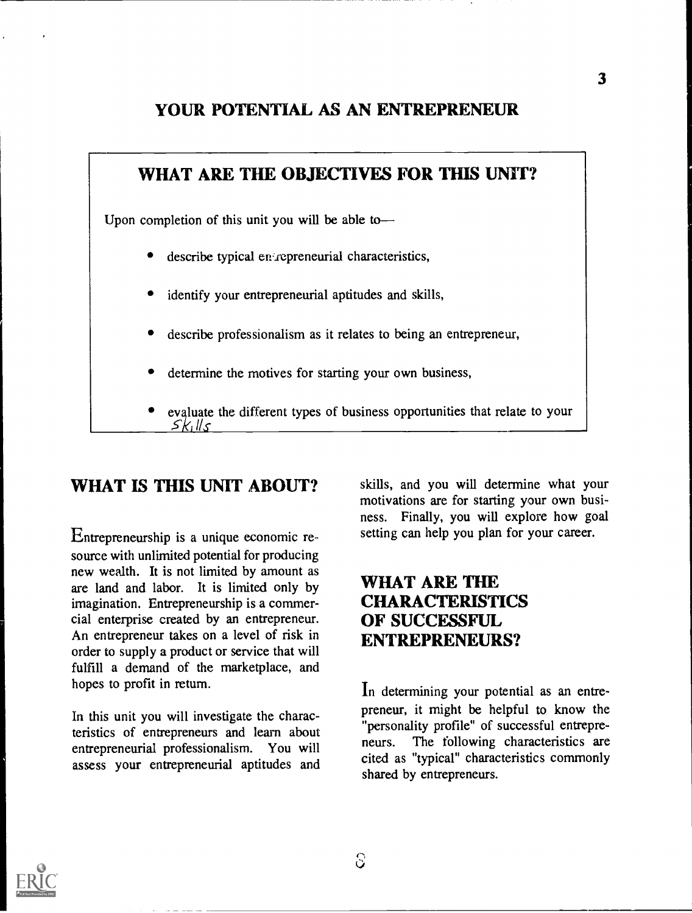# YOUR POTENTIAL AS AN ENTREPRENEUR



# WHAT IS THIS UNIT ABOUT?

Entrepreneurship is a unique economic resource with unlimited potential for producing new wealth. It is not limited by amount as are land and labor. It is limited only by imagination. Entrepreneurship is a commercial enterprise created by an entrepreneur. An entrepreneur takes on a level of risk in order to supply a product or service that will fulfill a demand of the marketplace, and hopes to profit in return.

In this unit you will investigate the characteristics of entrepreneurs and learn about entrepreneurial professionalism. You will assess your entrepreneurial aptitudes and skills, and you will determine what your motivations are for starting your own business. Finally, you will explore how goal setting can help you plan for your career.

# WHAT ARE THE CHARACTERISTICS OF SUCCESSFUL. ENTREPRENEURS?

In determining your potential as an entrepreneur, it might be helpful to know the "personality profile" of successful entrepreneurs. The following characteristics are cited as "typical" characteristics commonly shared by entrepreneurs.

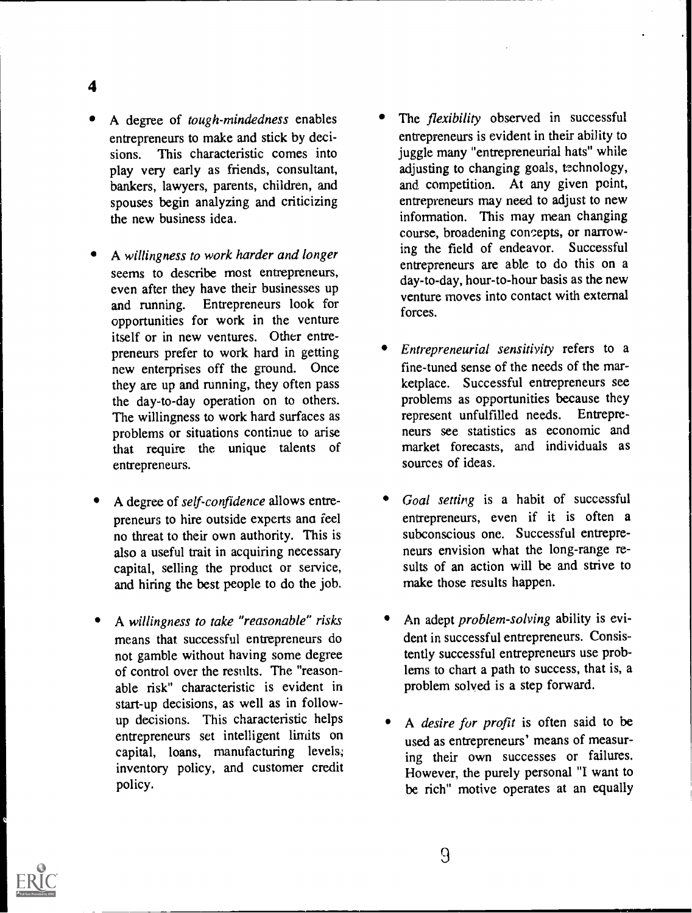A degree of tough-mindedness enables entrepreneurs to make and stick by decisions. This characteristic comes into play very early as friends, consultant, bankers, lawyers, parents, children, and spouses begin analyzing and criticizing the new business idea.

4

- A willingness to work harder and longer seems to describe most entrepreneurs, even after they have their businesses up and running. Entrepreneurs look for opportunities for work in the venture itself or in new ventures. Other entrepreneurs prefer to work hard in getting new enterprises off the ground. Once they are up and running, they often pass the day-to-day operation on to others. The willingness to work hard surfaces as problems or situations continue to arise that require the unique talents of entrepreneurs.
- A degree of self-confidence allows entrepreneurs to hire outside experts ana feel no threat to their own authority. This is also a useful trait in acquiring necessary capital, selling the product or service, and hiring the best people to do the job.
- A willingness to take "reasonable" risks means that successful entrepreneurs do not gamble without having some degree of control over the results. The "reasonable risk" characteristic is evident in start-up decisions, as well as in followup decisions. This characteristic helps entrepreneurs set intelligent limits on capital, loans, manufacturing levels; inventory policy, and customer credit policy.
- The *flexibility* observed in successful entrepreneurs is evident in their ability to juggle many "entrepreneurial hats" while adjusting to changing goals, technology, and competition. At any given point, entrepreneurs may need to adjust to new information. This may mean changing course, broadening concepts, or narrowing the field of endeavor. Successful entrepreneurs are able to do this on a day-to-day, hour-to-hour basis as the new venture moves into contact with external forces.
- Entrepreneurial sensitivity refers to a fine-tuned sense of the needs of the marketplace. Successful entrepreneurs see problems as opportunities because they<br>represent unfulfilled needs. Entreprerepresent unfulfilled needs. neurs see statistics as economic and market forecasts, and individuals as sources of ideas.
- Goal setting is a habit of successful entrepreneurs, even if it is often a subconscious one. Successful entrepreneurs envision what the long-range results of an action will be and strive to make those results happen.
- An adept problem-solving ability is evident in successful entrepreneurs. Consistently successful entrepreneurs use problems to chart a path to success, that is, a problem solved is a step forward.
- A desire for profit is often said to be used as entrepreneurs' means of measuring their own successes or failures. However, the purely personal "I want to be rich" motive operates at an equally

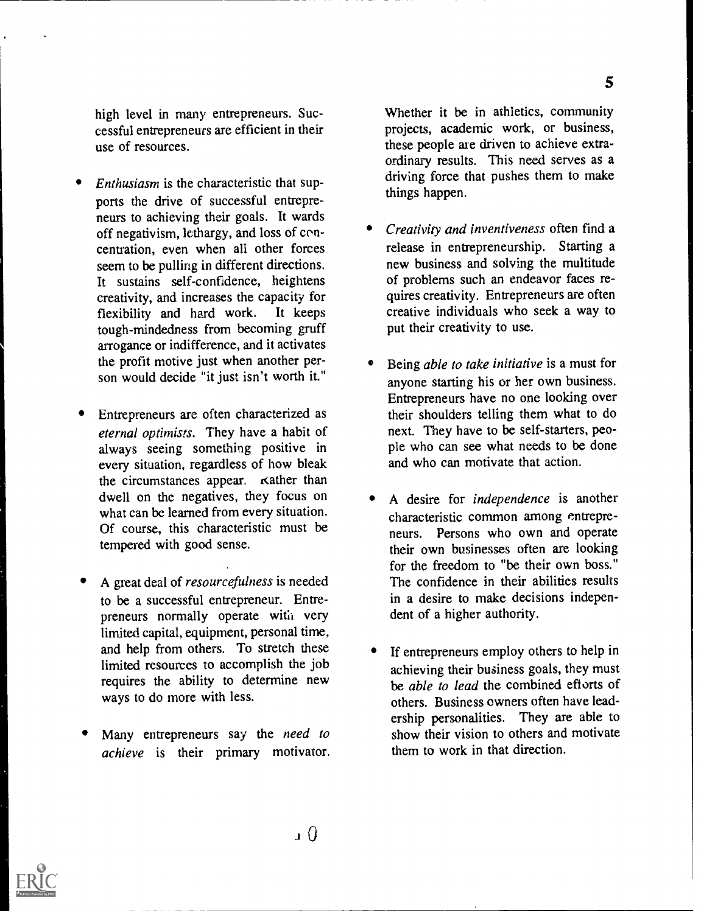high level in many entrepreneurs. Successful entrepreneurs are efficient in their use of resources.

- Enthusiasm is the characteristic that supports the drive of successful entrepreneurs to achieving their goals. It wards off negativism, lethargy, and loss of concentration, even when ali other forces seem to be pulling in different directions. It sustains self-confidence, heightens creativity, and increases the capacity for<br>flexibility and hard work. It keeps flexibility and hard work. tough-mindedness from becoming gruff arrogance or indifference, and it activates the profit motive just when another person would decide "it just isn't worth it."
- Entrepreneurs are often characterized as eternal optimists. They have a habit of always seeing something positive in every situation, regardless of how bleak the circumstances appear. Kather than dwell on the negatives, they focus on what can be learned from every situation. Of course, this characteristic must be tempered with good sense.
- A great deal of resourcefulness is needed to be a successful entrepreneur. Entrepreneurs normally operate with very limited capital, equipment, personal time, and help from others. To stretch these limited resources to accomplish the job requires the ability to determine new ways to do more with less.
- Many entrepreneurs say the need to achieve is their primary motivator.

Whether it be in athletics, community projects, academic work, or business, these people are driven to achieve extraordinary results. This need serves as a driving force that pushes them to make things happen.

- Creativity and inventiveness often find a release in entrepreneurship. Starting a new business and solving the multitude of problems such an endeavor faces requires creativity. Entrepreneurs are often creative individuals who seek a way to put their creativity to use.
- Being able to take initiative is a must for anyone starting his or her own business. Entrepreneurs have no one looking over their shoulders telling them what to do next. They have to be self-starters, people who can see what needs to be done and who can motivate that action.
- A desire for independence is another characteristic common among entrepreneurs. Persons who own and operate their own businesses often are looking for the freedom to "be their own boss." The confidence in their abilities results in a desire to make decisions independent of a higher authority.
- If entrepreneurs employ others to help in achieving their business goals, they must be able to lead the combined efforts of others. Business owners often have leadership personalities. They are able to show their vision to others and motivate them to work in that direction.

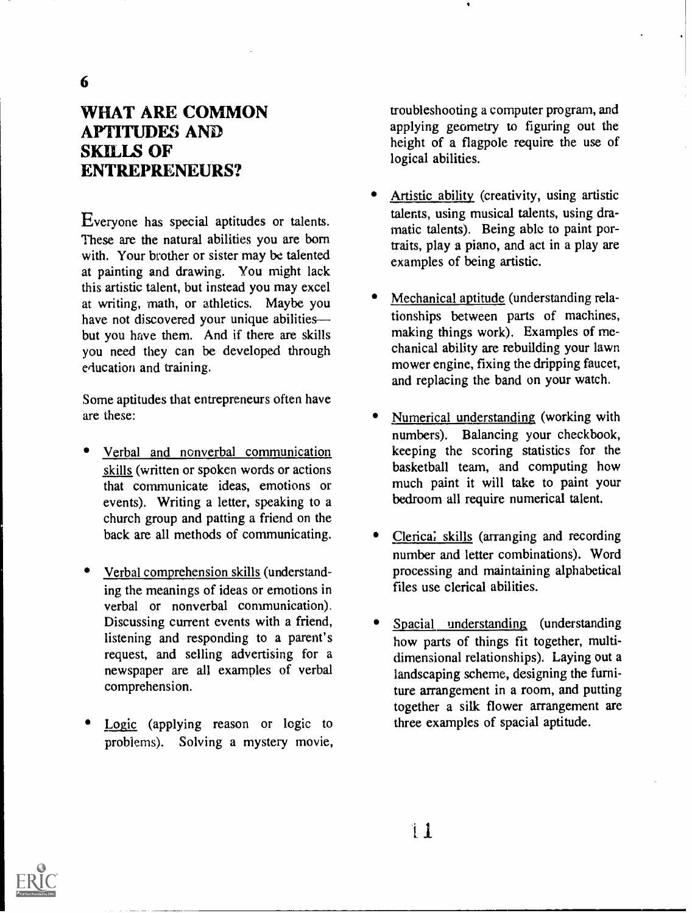# WHAT ARE COMMON APTITUDES AND SKILLS OF ENTREPRENEURS?

Everyone has special aptitudes or talents. These are the natural abilities you are born with. Your brother or sister may be talented at painting and drawing. You might lack this artistic talent, but instead you may excel at writing, math, or athletics. Maybe you have not discovered your unique abilities but you have them. And if there are skills you need they can be developed through education and training.

Some aptitudes that entrepreneurs often have are these:

- Verbal and nonverbal communication skills (written or spoken words or actions that communicate ideas, emotions or events). Writing a letter, speaking to a church group and patting a friend on the back are all methods of communicating.
- Verbal comprehension skills (understanding the meanings of ideas or emotions in verbal or nonverbal communication). Discussing current events with a friend, listening and responding to a parent's request, and selling advertising for a newspaper are all examples of verbal comprehension.
- Logic (applying reason or logic to problems). Solving a mystery movie,

troubleshooting a computer program, and applying geometry to figuring out the height of a flagpole require the use of logical abilities.

- Artistic ability (creativity, using artistic talents, using musical talents, using dramatic talents). Being able to paint portraits, play a piano, and act in a play are examples of being artistic.
- Mechanical aptitude (understanding relationships between parts of machines, making things work). Examples of mechanical ability are rebuilding your lawn mower engine, fixing the dripping faucet, and replacing the band on your watch.
- Numerical understanding (working with numbers). Balancing your checkbook, keeping the scoring statistics for the basketball team, and computing how much paint it will take to paint your bedroom all require numerical talent.
- Clerica; skills (arranging and recording number and letter combinations). Word processing and maintaining alphabetical files use clerical abilities.
- Spacial understanding (understanding how parts of things fit together, multidimensional relationships). Laying out a landscaping scheme, designing the furniture arrangement in a room, and putting together a silk flower arrangement are three examples of spacial aptitude.

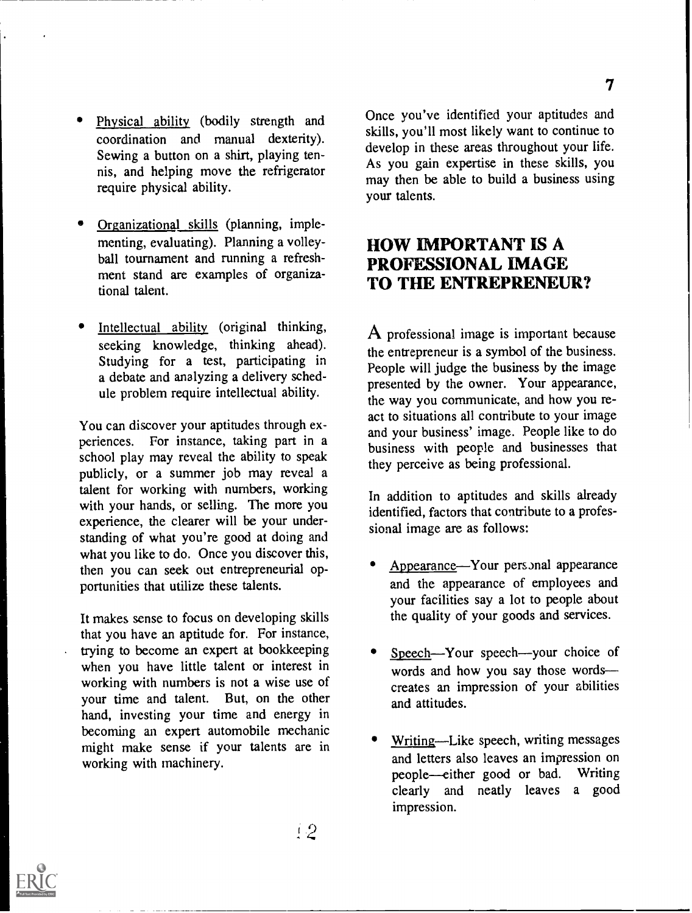- Physical ability (bodily strength and coordination and manual dexterity). Sewing a button on a shirt, playing tennis, and helping move the refrigerator require physical ability.
- Organizational skills (planning, implementing, evaluating). Planning a volleyball tournament and running a refreshment stand are examples of organizational talent.
- Intellectual ability (original thinking, seeking knowledge, thinking ahead). Studying for a test, participating in a debate and analyzing a delivery schedule problem require intellectual ability.

You can discover your aptitudes through experiences. For instance, taking part in a school play may reveal the ability to speak publicly, or a summer job may reveal a talent for working with numbers, working with your hands, or selling. The more you experience, the clearer will be your understanding of what you're good at doing and what you like to do. Once you discover this, then you can seek out entrepreneurial opportunities that utilize these talents.

It makes sense to focus on developing skills that you have an aptitude for. For instance, trying to become an expert at bookkeeping when you have little talent or interest in working with numbers is not a wise use of your time and talent. But, on the other hand, investing your time and energy in becoming an expert automobile mechanic might make sense if your talents are in working with machinery.

Once you've identified your aptitudes and skills, you'll most likely want to continue to develop in these areas throughout your life. As you gain expertise in these skills, you may then be able to build a business using your talents.

### HOW IMPORTANT IS A PROFESSIONAL IMAGE TO THE ENTREPRENEUR?

A professional image is important because the entrepreneur is a symbol of the business. People will judge the business by the image presented by the owner. Your appearance, the way you communicate, and how you react to situations all contribute to your image and your business' image. People like to do business with people and businesses that they perceive as being professional.

In addition to aptitudes and skills already identified, factors that contribute to a professional image are as follows:

- Appearance—Your personal appearance and the appearance of employees and your facilities say a lot to people about the quality of your goods and services.
- Speech-Your speech--your choice of words and how you say those words creates an impression of your abilities and attitudes.
- Writing—Like speech, writing messages and letters also leaves an impression on people-either good or bad. Writing clearly and neatly leaves a good impression.

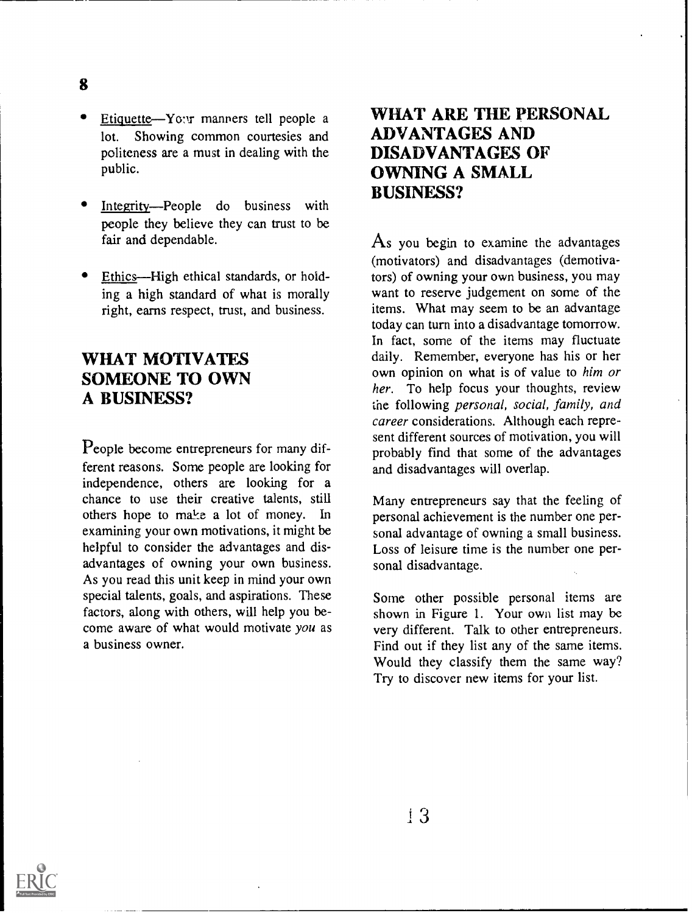- Etiquette-Yo:*v* manners tell people a lot. Showing common courtesies and politeness are a must in dealing with the public.
- Integrity-People do business with people they believe they can trust to be fair and dependable.
- Ethics—High ethical standards, or holding a high standard of what is morally right, earns respect, trust, and business.

## WHAT MOTIVATES SOMEONE TO OWN A BUSINESS?

People become entrepreneurs for many different reasons. Some people are looking for independence, others are looking for a chance to use their creative talents, still others hope to make a lot of money. In examining your own motivations, it might be helpful to consider the advantages and disadvantages of owning your own business. As you read this unit keep in mind your own special talents, goals, and aspirations. These factors, along with others, will help you become aware of what would motivate you as a business owner.

# WHAT ARE THE PERSONAL ADVANTAGES AND DISADVANTAGES OF OWNING A SMALL BUSINESS?

 $\overline{A}$ s you begin to examine the advantages (motivators) and disadvantages (dernotivators) of owning your own business, you may want to reserve judgement on some of the items. What may seem to be an advantage today can turn into a disadvantage tomorrow. In fact, some of the items may fluctuate daily. Remember, everyone has his or her own opinion on what is of value to him or her. To help focus your thoughts, review the following personal, social, family, and career considerations. Although each represent different sources of motivation, you will probably find that some of the advantages and disadvantages will overlap.

Many entrepreneurs say that the feeling of personal achievement is the number one personal advantage of owning a small business. Loss of leisure time is the number one personal disadvantage.

Some other possible personal items are shown in Figure 1. Your own list may be very different. Talk to other entrepreneurs. Find out if they list any of the same items. Would they classify them the same way? Try to discover new items for your list.



8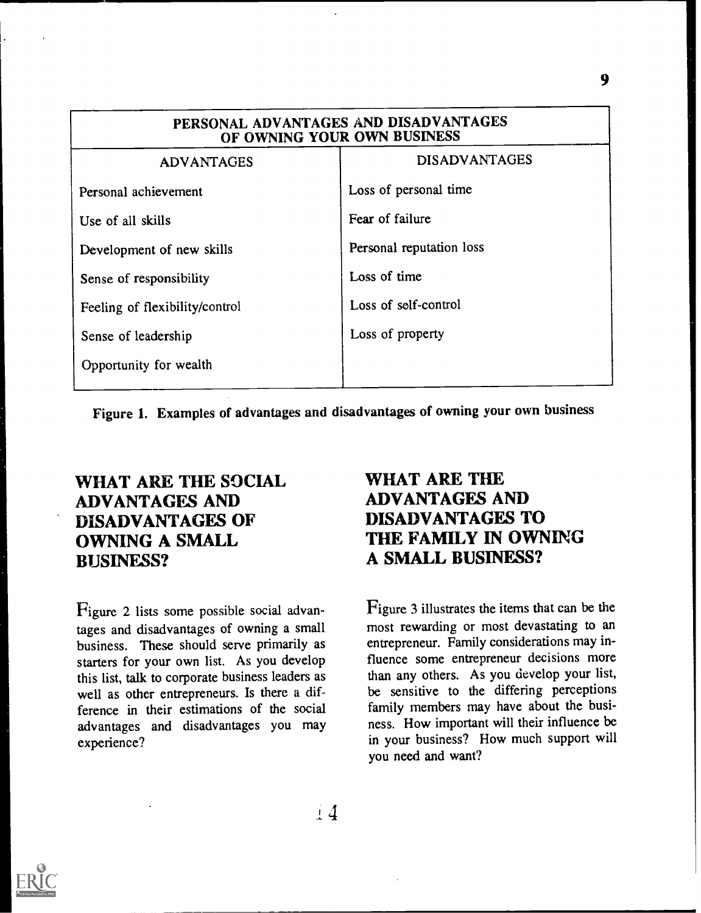| PERSONAL ADVANTAGES AND DISADVANTAGES<br>OF OWNING YOUR OWN BUSINESS |                          |  |
|----------------------------------------------------------------------|--------------------------|--|
| <b>ADVANTAGES</b>                                                    | <b>DISADVANTAGES</b>     |  |
| Personal achievement                                                 | Loss of personal time    |  |
| Use of all skills                                                    | Fear of failure          |  |
| Development of new skills                                            | Personal reputation loss |  |
| Sense of responsibility                                              | Loss of time             |  |
| Feeling of flexibility/control                                       | Loss of self-control     |  |
| Sense of leadership                                                  | Loss of property         |  |
| Opportunity for wealth                                               |                          |  |

Figure 1. Examples of advantages and disadvantages of owning your own business

# WHAT ARE THE SOCIAL ADVANTAGES AND DISADVANTAGES OF OWNING A SMALL BUSINESS?

Figure 2 lists some possible social advantages and disadvantages of owning a small business. These should serve primarily as starters for your own list. As you develop this list, talk to corporate business leaders as well as other entrepreneurs. Is there a difference in their estimations of the social advantages and disadvantages you may experience?

# WHAT ARE THE ADVANTAGES AND DISADVANTAGES TO THE FAMILY IN OWNING A SMALL BUSINESS?

Figure 3 illustrates the items that can be the most rewarding or most devastating to an entrepreneur. Family considerations may influence some entrepreneur decisions more than any others. As you develop your list, be sensitive to the differing perceptions family members may have about the business. How important will their influence be in your business? How much support will you need and want?

 $+4$ 

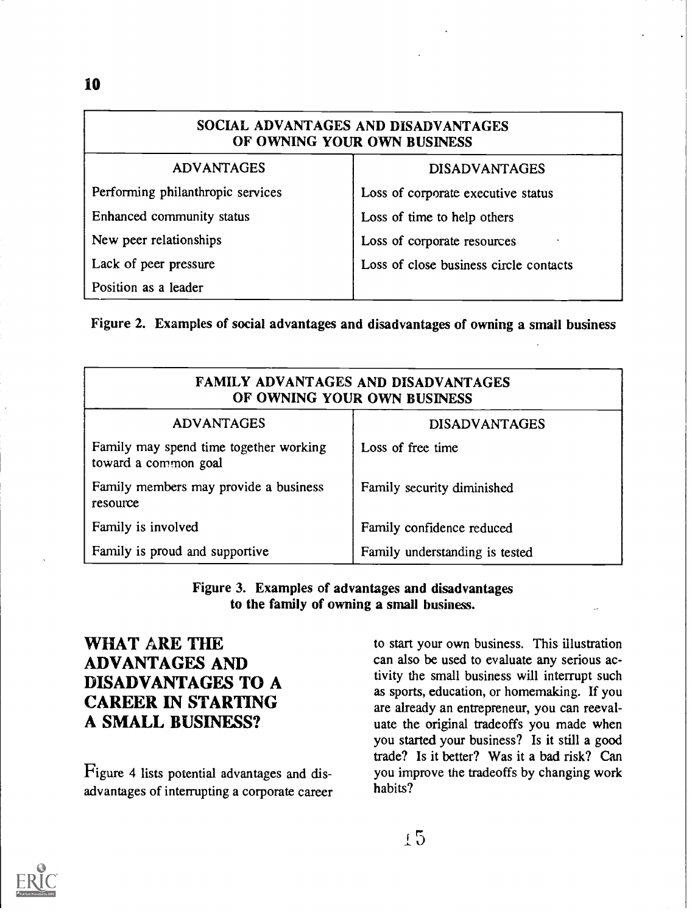| SOCIAL ADVANTAGES AND DISADVANTAGES<br>OF OWNING YOUR OWN BUSINESS |                                        |  |
|--------------------------------------------------------------------|----------------------------------------|--|
| <b>ADVANTAGES</b>                                                  | <b>DISADVANTAGES</b>                   |  |
| Performing philanthropic services                                  | Loss of corporate executive status     |  |
| Enhanced community status                                          | Loss of time to help others            |  |
| New peer relationships                                             | Loss of corporate resources            |  |
| Lack of peer pressure                                              | Loss of close business circle contacts |  |
| Position as a leader                                               |                                        |  |

Figure 2. Examples of social advantages and disadvantages of owning a small business

| <b>FAMILY ADVANTAGES AND DISADVANTAGES</b><br>OF OWNING YOUR OWN BUSINESS |                                |  |
|---------------------------------------------------------------------------|--------------------------------|--|
| <b>ADVANTAGES</b>                                                         | <b>DISADVANTAGES</b>           |  |
| Family may spend time together working<br>toward a common goal            | Loss of free time              |  |
| Family members may provide a business<br>resource                         | Family security diminished     |  |
| Family is involved                                                        | Family confidence reduced      |  |
| Family is proud and supportive                                            | Family understanding is tested |  |

Figure 3. Examples of advantages and disadvantages to the family of owning a small business.

# WHAT ARE THE ADVANTAGES AND DISADVANTAGES TO A CAREER IN STARTING A SMALL BUSINESS?

Figure 4 lists potential advantages and disadvantages of interrupting a corporate career to start your own business. This illustration can also be used to evaluate any serious activity the small business will interrupt such as sports, education, or homemaking. If you are already an entrepreneur, you can reevaluate the original tradeoffs you made when you started your business? Is it still a good trade? Is it better? Was it a bad risk? Can you improve the tradeoffs by changing work habits?

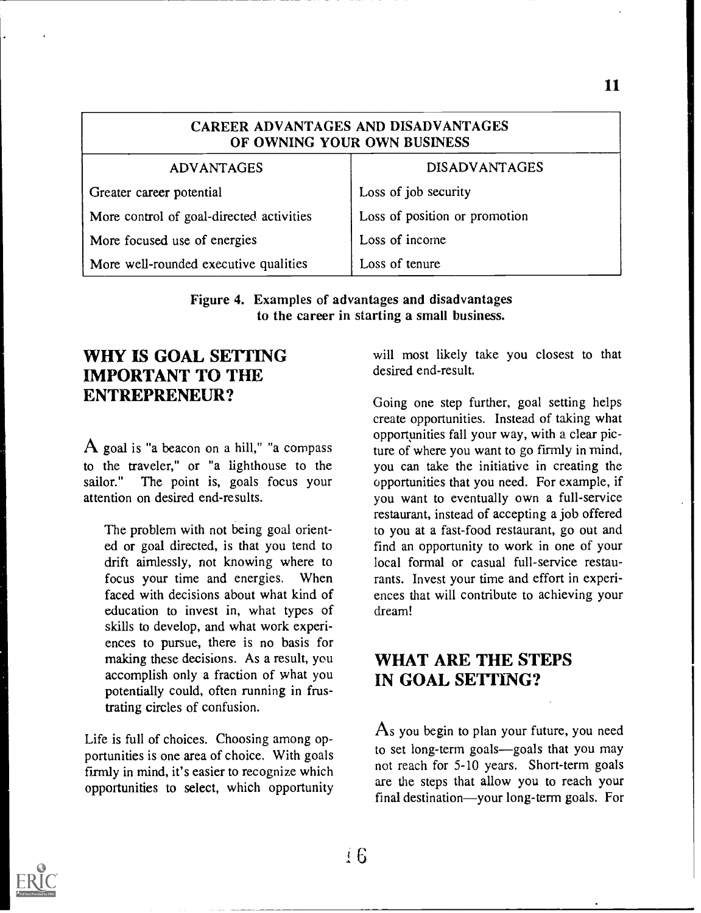| CAREER ADVANTAGES AND DISADVANTAGES<br>OF OWNING YOUR OWN BUSINESS |                               |  |
|--------------------------------------------------------------------|-------------------------------|--|
| <b>ADVANTAGES</b>                                                  | <b>DISADVANTAGES</b>          |  |
| Greater career potential                                           | Loss of job security          |  |
| More control of goal-directed activities                           | Loss of position or promotion |  |
| More focused use of energies                                       | Loss of income                |  |
| More well-rounded executive qualities                              | Loss of tenure                |  |

#### Figure 4. Examples of advantages and disadvantages to the career in starting a small business.

### WHY IS GOAL SETTING IMPORTANT TO THE ENTREPRENEUR?

 $\bf{A}$  goal is "a beacon on a hill," "a compass to the traveler," or "a lighthouse to the sailor." The point is, goals focus your attention on desired end-results.

The problem with not being goal oriented or goal directed, is that you tend to drift aimlessly, not knowing where to focus your time and energies. When faced with decisions about what kind of education to invest in, what types of skills to develop, and what work experiences to pursue, there is no basis for making these decisions. As a result, you accomplish only a fraction of what you potentially could, often running in frustrating circles of confusion.

Life is full of choices. Choosing among opportunities is one area of choice. With goals firmly in mind, it's easier to recognize which opportunities to select, which opportunity will most likely take you closest to that desired end-result.

Going one step further, goal setting helps create opportunities. Instead of taking what opportunities fall your way, with a clear picture of where you want to go firmly in mind, you can take the initiative in creating the opportunities that you need. For example, if you want to eventually own a full-service restaurant, instead of accepting a job offered to you at a fast-food restaurant, go out and find an opportunity to work in one of your local formal or casual full-service restaurants. Invest your time and effort in experiences that will contribute to achieving your dream!

### WHAT ARE THE STEPS IN GOAL SETTING?

As you begin to plan your future, you need to set long-term goals-goals that you may not reach for 5-10 years. Short-term goals are the steps that allow you to reach your final destination—your long-term goals. For

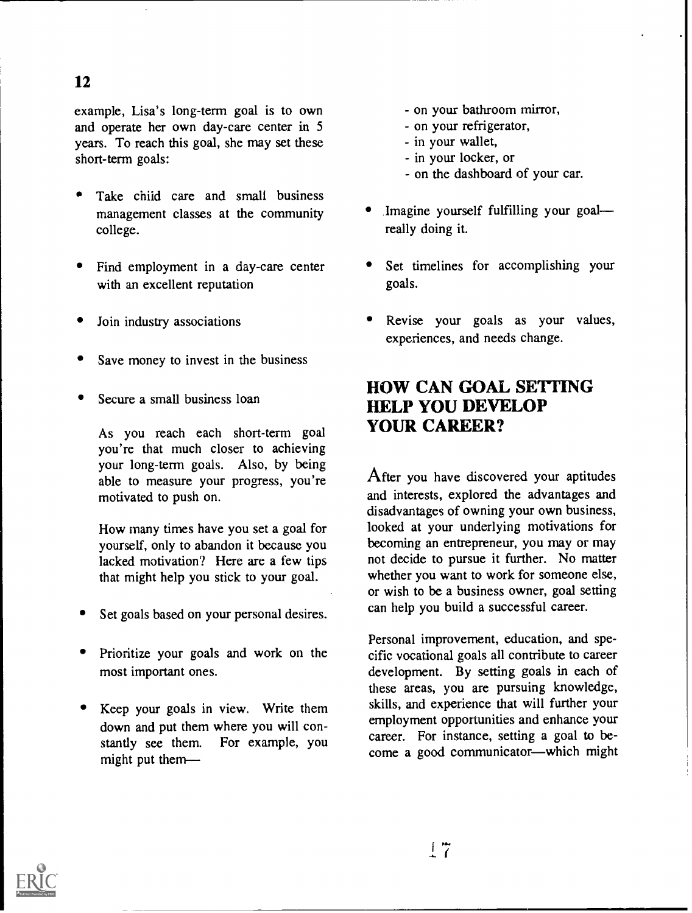# 12

example, Lisa's long-term goal is to own and operate her own day-care center in 5 years. To reach this goal, she may set these short-term goals:

- Take child care and small business management classes at the community college.
- Find employment in a day-care center with an excellent reputation
- Join industry associations
- Save money to invest in the business
- Secure a small business loan

As you reach each short-term goal you're that much closer to achieving your long-term goals. Also, by being able to measure your progress, you're motivated to push on.

How many times have you set a goal for yourself, only to abandon it because you lacked motivation? Here are a few tips that might help you stick to your goal.

- Set goals based on your personal desires.
- Prioritize your goals and work on the most important ones.
- Keep your goals in view. Write them down and put them where you will constantly see them. For example, you might put them
- on your bathroom mirror,
- on your refrigerator,
- in your wallet,
- in your locker, or
- on the dashboard of your car.
- Imagine yourself fulfilling your goal really doing it.
- Set timelines for accomplishing your goals.
- Revise your goals as your values, experiences, and needs change.

# HOW CAN GOAL SETTING HELP YOU DEVELOP YOUR CAREER?

After you have discovered your aptitudes and interests, explored the advantages and disadvantages of owning your own business, looked at your underlying motivations for becoming an entrepreneur, you may or may not decide to pursue it further. No matter whether you want to work for someone else, or wish to be a business owner, goal setting can help you build a successful career.

Personal improvement, education, and specific vocational goals all contribute to career development. By setting goals in each of these areas, you are pursuing knowledge, skills, and experience that will further your employment opportunities and enhance your career. For instance, setting a goal to become a good communicator—which might

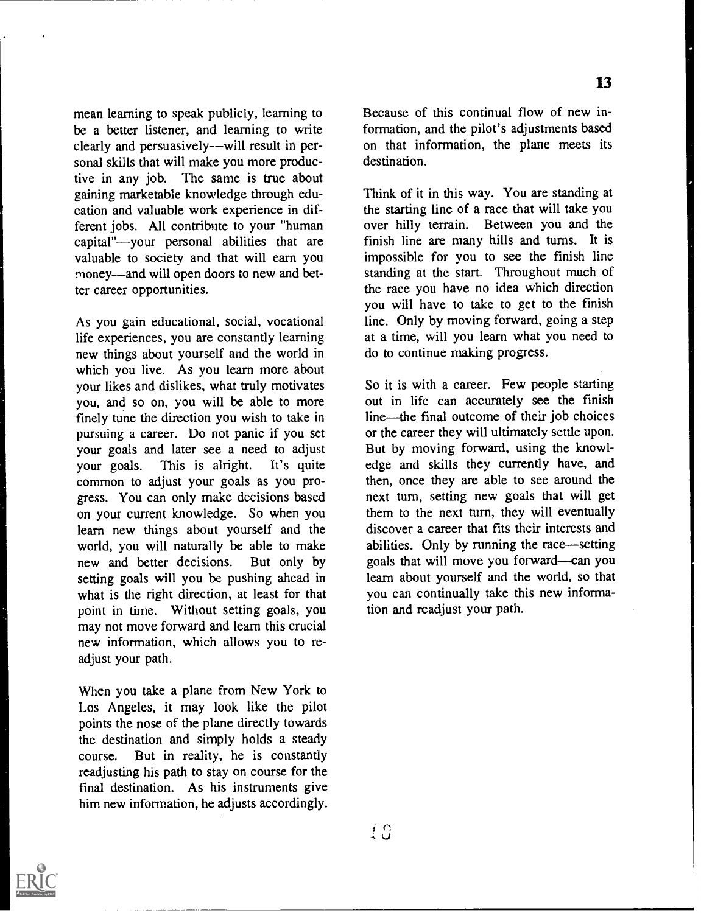mean learning to speak publicly, learning to be a better listener, and learning to write clearly and persuasively--will result in personal skills that will make you more productive in any job. The same is true about gaining marketable knowledge through education and valuable work experience in different jobs. All contribute to your "human capital"---vour personal abilities that are valuable to society and that will earn you money—and will open doors to new and better career opportunities.

As you gain educational, social, vocational life experiences, you are constantly learning new things about yourself and the world in which you live. As you learn more about your likes and dislikes, what truly motivates you, and so on, you will be able to more finely tune the direction you wish to take in pursuing a career. Do not panic if you set your goals and later see a need to adjust<br>your goals. This is alright. It's quite your goals. This is alright. common to adjust your goals as you progress. You can only make decisions based on your current knowledge. So when you learn new things about yourself and the world, you will naturally be able to make<br>new and better decisions. But only by new and better decisions. setting goals will you be pushing ahead in what is the right direction, at least for that point in time. Without setting goals, you may not move forward and learn this crucial new information, which allows you to readjust your path.

When you take a plane from New York to Los Angeles, it may look like the pilot points the nose of the plane directly towards the destination and simply holds a steady course. But in reality, he is constantly readjusting his path to stay on course for the final destination. As his instruments give him new information, he adjusts accordingly. Because of this continual flow of new information, and the pilot's adjustments based on that information, the plane meets its destination.

13

Think of it in this way. You are standing at the starting line of a race that will take you over hilly terrain. Between you and the finish line are many hills and turns. It is impossible for you to see the finish line standing at the start. Throughout much of the race you have no idea which direction you will have to take to get to the finish line. Only by moving forward, going a step at a time, will you learn what you need to do to continue making progress.

So it is with a career. Few people starting out in life can accurately see the finish line—the final outcome of their job choices or the career they will ultimately settle upon. But by moving forward, using the knowledge and skills they currently have, and then, once they are able to see around the next turn, setting new goals that will get them to the next turn, they will eventually discover a career that fits their interests and abilities. Only by running the race—setting goals that will move you forward-can you learn about yourself and the world, so that you can continually take this new information and readjust your path.

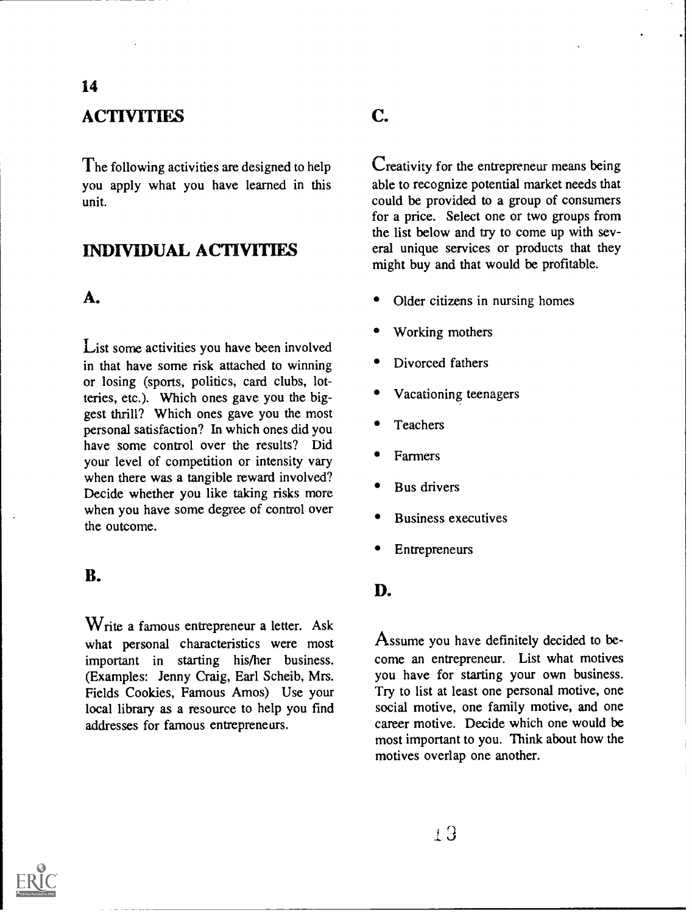# **ACTIVITIES**

The following activities are designed to help you apply what you have learned in this unit.

### INDIVIDUAL ACTIVITIES

#### A.

14

List some activities you have been involved in that have some risk attached to winning or losing (sports, politics, card clubs, lotteries, etc.). Which ones gave you the biggest thrill? Which ones gave you the most personal satisfaction? In which ones did you have some control over the results? Did your level of competition or intensity vary when there was a tangible reward involved? Decide whether you like taking risks more when you have some degree of control over the outcome.

#### B.

Write a famous entrepreneur a letter. Ask what personal characteristics were most important in starting his/her business. (Examples: Jenny Craig, Earl Scheib, Mrs. Fields Cookies, Famous Amos) Use your local library as a resource to help you find addresses for famous entrepreneurs.

# C.

Creativity for the entrepreneur means being able to recognize potential market needs that could be provided to a group of consumers for a price. Select one or two groups from the list below and try to come up with several unique services or products that they might buy and that would be profitable.

- Older citizens in nursing homes
- Working mothers
- Divorced fathers
- Vacationing teenagers
- **Teachers**
- Farmers
- Bus drivers
- Business executives
- Entrepreneurs

#### D.

Assume you have definitely decided to become an entrepreneur. List what motives you have for starting your own business. Try to list at least one personal motive, one social motive, one family motive, and one career motive. Decide which one would be most important to you. Think about how the motives overlap one another.

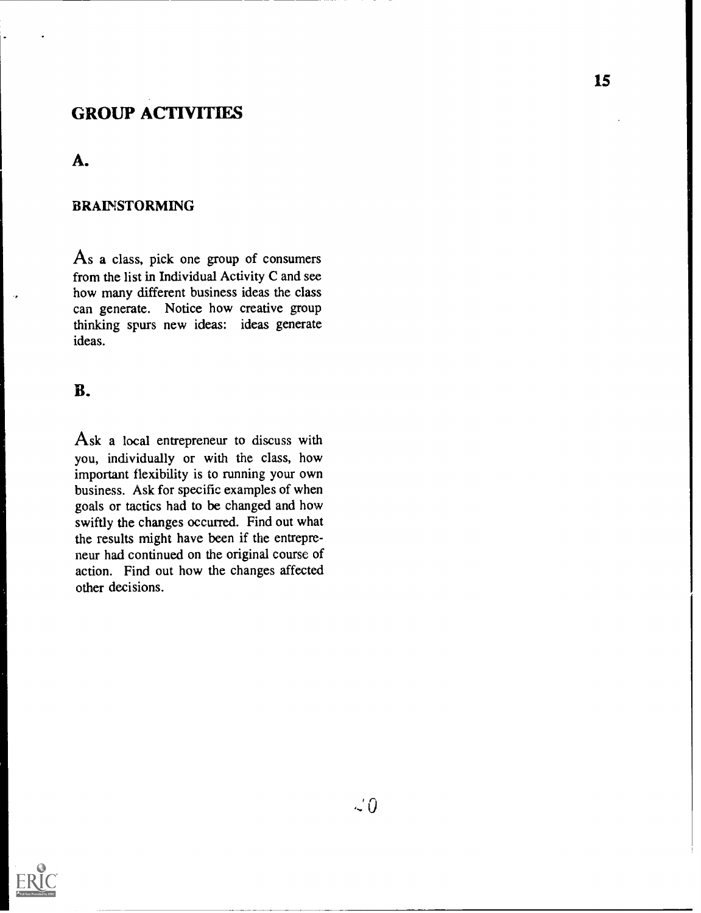# GROUP ACTIVITIES

#### A.

#### BRAINSTORMING

As a class, pick one group of consumers from the list in Individual Activity C and see how many different business ideas the class can generate. Notice how creative group thinking spurs new ideas: ideas generate ideas.

#### B.

Ask a local entrepreneur to discuss with you, individually or with the class, how important flexibility is to running your own business. Ask for specific examples of when goals or tactics had to be changed and how swiftly the changes occurred. Find out what the results might have been if the entrepreneur had continued on the original course of action. Find out how the changes affected other decisions.

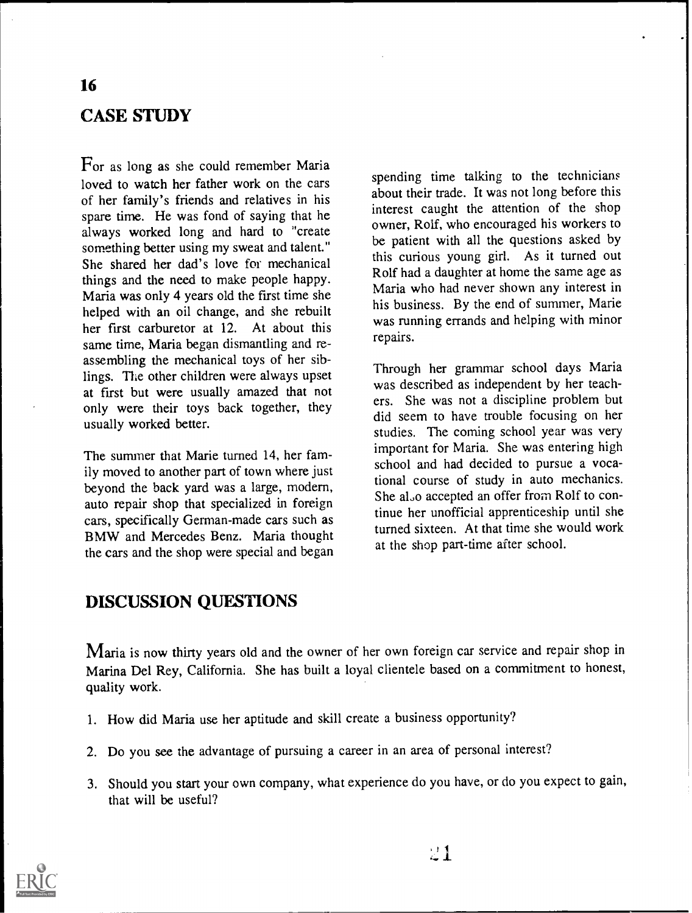# CASE STUDY

For as long as she could remember Maria loved to watch her father work on the cars of her family's friends and relatives in his spare time. He was fond of saying that he always worked long and hard to "create something better using my sweat and talent." She shared her dad's love for mechanical things and the need to make people happy. Maria was only 4 years old the first time she helped with an oil change, and she rebuilt her first carburetor at 12. At about this same time, Maria began dismantling and reassembling the mechanical toys of her siblings. The other children were always upset at first but were usually amazed that not only were their toys back together, they usually worked better.

The summer that Marie turned 14, her family moved to another part of town where just beyond the back yard was a large, modern, auto repair shop that specialized in foreign cars, specifically German-made cars such as BMW and Mercedes Benz. Maria thought the cars and the shop were special and began

spending time talking to the technicians about their trade. It was not long before this interest caught the attention of the shop owner, Rolf, who encouraged his workers to be patient with all the questions asked by this curious young girl. As it turned out Rolf had a daughter at home the same age as Maria who had never shown any interest in his business. By the end of summer, Marie was running errands and helping with minor repairs.

Through her grammar school days Maria was described as independent by her teachers. She was not a discipline problem but did seem to have trouble focusing on her studies. The coming school year was very important for Maria. She was entering high school and had decided to pursue a vocational course of study in auto mechanics. She al.o accepted an offer from Rolf to continue her unofficial apprenticeship until she turned sixteen. At that time she would work at the shop part-time after school.

#### DISCUSSION QUESTIONS

Maria is now thirty years old and the owner of her own foreign car service and repair shop in Marina Del Rey, California. She has built a loyal clientele based on a commitment to honest, quality work.

- 1. How did Maria use her aptitude and skill create a business opportunity?
- 2. Do you see the advantage of pursuing a career in an area of personal interest?
- 3. Should you start your own company, what experience do you have, or do you expect to gain, that will be useful?

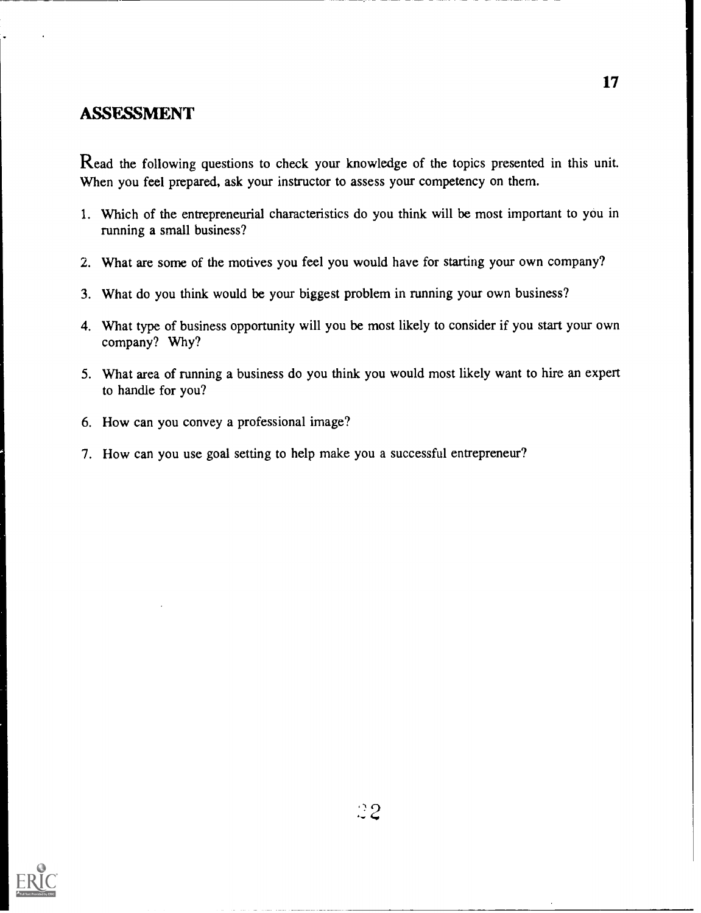#### ASSESSMENT

Read the following questions to check your knowledge of the topics presented in this unit. When you feel prepared, ask your instructor to assess your competency on them.

- 1. Which of the entrepreneurial characteristics do you think will be most important to you in running a small business?
- 2. What are some of the motives you feel you would have for starting your own company?
- 3. What do you think would be your biggest problem in running your own business?
- 4. What type of business opportunity will you be most likely to consider if you start your own company? Why?
- 5. What area of running a business do you think you would most likely want to hire an expert to handle for you?
- 6. How can you convey a professional image?
- 7. How can you use goal setting to help make you a successful entrepreneur?

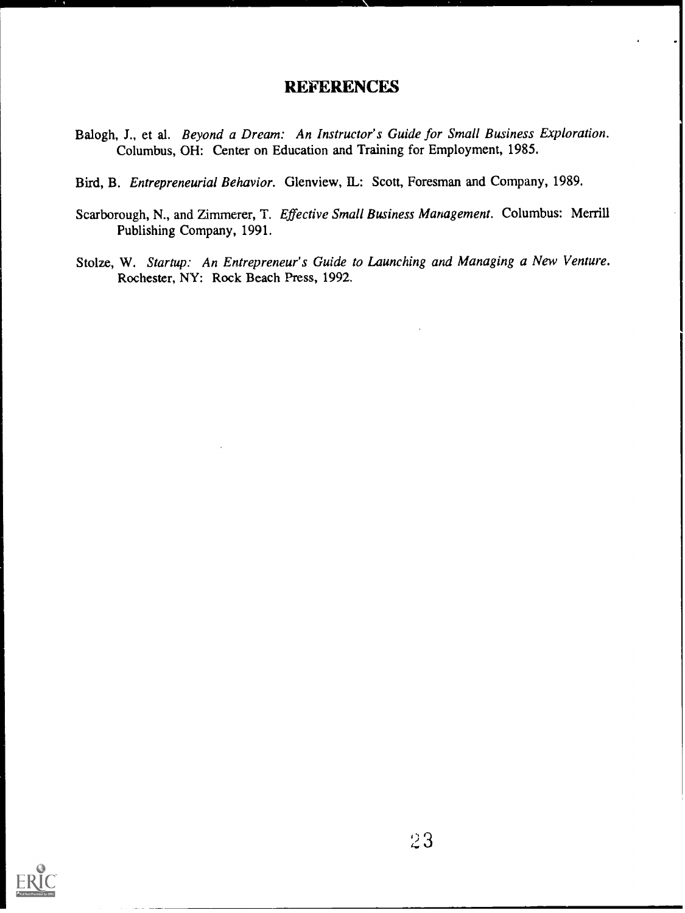#### REFERENCES

- Balogh, J., et al. Beyond a Dream: An Instructor's Guide for Small Business Exploration. Columbus, OH: Center on Education and Training for Employment, 1985.
- Bird, B. Entrepreneurial Behavior. Glenview, IL: Scott, Foresman and Company, 1989.
- Scarborough, N., and Zimmerer, T. Effective Small Business Management. Columbus: Merrill Publishing Company, 1991.
- Stolze, W. Startup: An Entrepreneur's Guide to Launching and Managing a New Venture. Rochester, NY: Rock Beach Press, 1992.